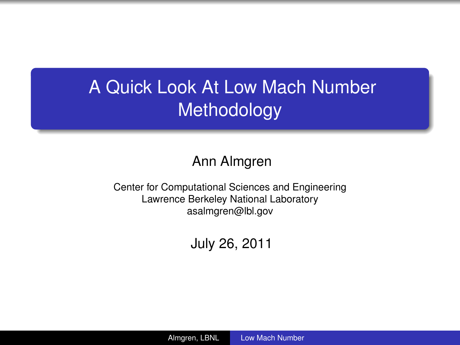# A Quick Look At Low Mach Number Methodology

#### Ann Almgren

Center for Computational Sciences and Engineering Lawrence Berkeley National Laboratory asalmgren@lbl.gov

<span id="page-0-0"></span>July 26, 2011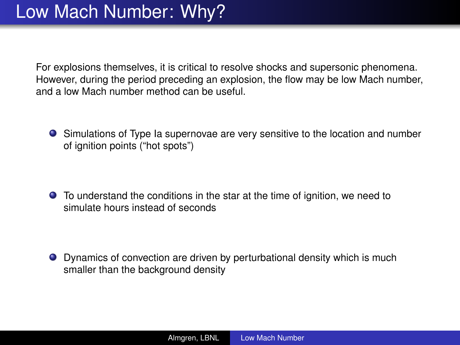For explosions themselves, it is critical to resolve shocks and supersonic phenomena. However, during the period preceding an explosion, the flow may be low Mach number, and a low Mach number method can be useful.

Simulations of Type Ia supernovae are very sensitive to the location and number of ignition points ("hot spots")

To understand the conditions in the star at the time of ignition, we need to simulate hours instead of seconds

Dynamics of convection are driven by perturbational density which is much smaller than the background density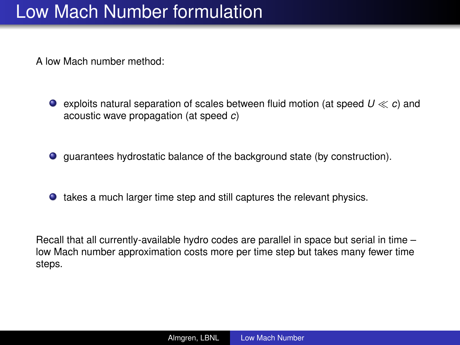#### Low Mach Number formulation

A low Mach number method:

- **exploits natural separation of scales between fluid motion (at speed**  $U \ll c$ **) and** acoustic wave propagation (at speed *c*)
- guarantees hydrostatic balance of the background state (by construction).
- $\bullet$  takes a much larger time step and still captures the relevant physics.

Recall that all currently-available hydro codes are parallel in space but serial in time – low Mach number approximation costs more per time step but takes many fewer time steps.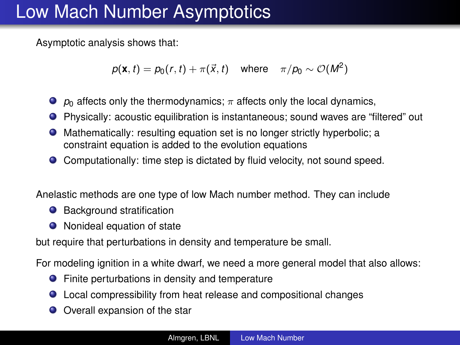#### Low Mach Number Asymptotics

Asymptotic analysis shows that:

$$
p(\mathbf{x},t) = p_0(r,t) + \pi(\vec{x},t) \quad \text{where} \quad \pi/p_0 \sim \mathcal{O}(M^2)
$$

- $\rho_0$  affects only the thermodynamics;  $\pi$  affects only the local dynamics,
- Physically: acoustic equilibration is instantaneous; sound waves are "filtered" out
- Mathematically: resulting equation set is no longer strictly hyperbolic; a constraint equation is added to the evolution equations
- Computationally: time step is dictated by fluid velocity, not sound speed.

Anelastic methods are one type of low Mach number method. They can include

- Background stratification
- Nonideal equation of state

but require that perturbations in density and temperature be small.

For modeling ignition in a white dwarf, we need a more general model that also allows:

- **•** Finite perturbations in density and temperature
- Local compressibility from heat release and compositional changes
- Overall expansion of the star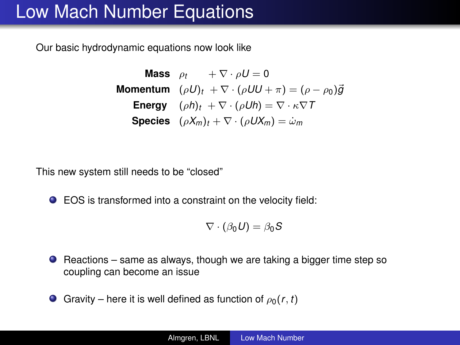### Low Mach Number Equations

Our basic hydrodynamic equations now look like

**Mass**  $\rho_t$  +  $\nabla \cdot \rho U = 0$ **Momentum**  $(\rho U)_t + \nabla \cdot (\rho U U + \pi) = (\rho - \rho_0) \vec{g}$ **Energy**  $(\rho h)_t + \nabla \cdot (\rho Uh) = \nabla \cdot \kappa \nabla T$ **Species**  $(\rho X_m)_t + \nabla \cdot (\rho U X_m) = \omega_m$ 

This new system still needs to be "closed"

EOS is transformed into a constraint on the velocity field:

$$
\nabla \cdot (\beta_0 U) = \beta_0 S
$$

- $\bullet$  Reactions same as always, though we are taking a bigger time step so coupling can become an issue
- Gravity here it is well defined as function of  $\rho_0(r, t)$